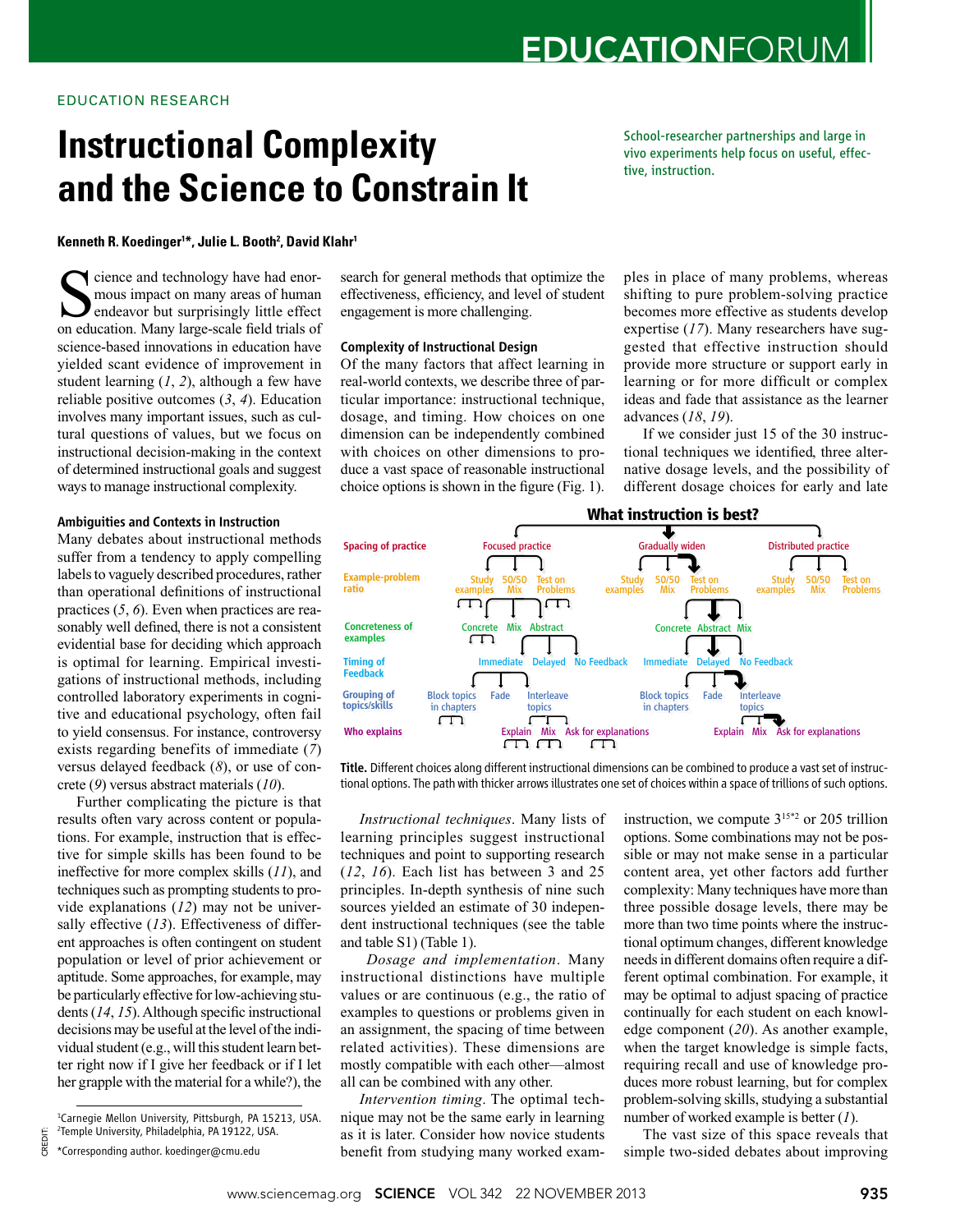# EDUCATIONFORUM

## EDUCATION RESEARCH

# **Instructional Complexity and the Science to Constrain It**

School-researcher partnerships and large in vivo experiments help focus on useful, effective, instruction.

### ${\bf K}$ enneth R. Koedinger<sup>1\*</sup>, Julie L. Booth<sup>2</sup>, David Klahr<sup>1</sup>

Solience and technology have had enor-<br>mous impact on many areas of human<br>endeavor but surprisingly little effect<br>on education. Many large-scale field trials of cience and technology have had enormous impact on many areas of human endeavor but surprisingly little effect science-based innovations in education have yielded scant evidence of improvement in student learning  $(1, 2)$ , although a few have reliable positive outcomes  $(3, 4)$ . Education involves many important issues, such as cultural questions of values, but we focus on instructional decision-making in the context of determined instructional goals and suggest ways to manage instructional complexity.

#### Ambiguities and Contexts in Instruction

Many debates about instructional methods suffer from a tendency to apply compelling labels to vaguely described procedures, rather than operational definitions of instructional practices  $(5, 6)$ . Even when practices are reasonably well defined, there is not a consistent evidential base for deciding which approach is optimal for learning. Empirical investigations of instructional methods, including controlled laboratory experiments in cognitive and educational psychology, often fail to yield consensus. For instance, controversy exists regarding benefits of immediate (7) versus delayed feedback ( *8*), or use of concrete ( *9*) versus abstract materials ( *10*).

Further complicating the picture is that results often vary across content or populations. For example, instruction that is effective for simple skills has been found to be ineffective for more complex skills (11), and techniques such as prompting students to provide explanations (12) may not be universally effective (13). Effectiveness of different approaches is often contingent on student population or level of prior achievement or aptitude. Some approaches, for example, may be particularly effective for low-achieving students (14, 15). Although specific instructional decisions may be useful at the level of the individual student (e.g., will this student learn better right now if I give her feedback or if I let her grapple with the material for a while?), the

CRE

search for general methods that optimize the effectiveness, efficiency, and level of student engagement is more challenging.

#### Complexity of Instructional Design

Of the many factors that affect learning in real-world contexts, we describe three of particular importance: instructional technique, dosage, and timing. How choices on one dimension can be independently combined with choices on other dimensions to produce a vast space of reasonable instructional choice options is shown in the figure  $(Fig. 1)$ .

ples in place of many problems, whereas shifting to pure problem-solving practice becomes more effective as students develop expertise (17). Many researchers have suggested that effective instruction should provide more structure or support early in learning or for more difficult or complex ideas and fade that assistance as the learner advances ( *18*, *19*).

If we consider just 15 of the 30 instructional techniques we identified, three alternative dosage levels, and the possibility of different dosage choices for early and late



Title. Different choices along different instructional dimensions can be combined to produce a vast set of instructional options. The path with thicker arrows illustrates one set of choices within a space of trillions of such options.

*Instructional techniques*. Many lists of learning principles suggest instructional techniques and point to supporting research ( *12*, *16*). Each list has between 3 and 25 principles. In-depth synthesis of nine such sources yielded an estimate of 30 independent instructional techniques (see the table and table S1) (Table 1).

*Dosage and implementation*. Many instructional distinctions have multiple values or are continuous (e.g., the ratio of examples to questions or problems given in an assignment, the spacing of time between related activities). These dimensions are mostly compatible with each other—almost all can be combined with any other.

*Intervention timing*. The optimal technique may not be the same early in learning as it is later. Consider how novice students benefit from studying many worked examinstruction, we compute 315\*2 or 205 trillion options. Some combinations may not be possible or may not make sense in a particular content area, yet other factors add further complexity: Many techniques have more than three possible dosage levels, there may be more than two time points where the instructional optimum changes, different knowledge needs in different domains often require a different optimal combination. For example, it may be optimal to adjust spacing of practice continually for each student on each knowledge component (20). As another example, when the target knowledge is simple facts, requiring recall and use of knowledge produces more robust learning, but for complex problem-solving skills, studying a substantial number of worked example is better (1).

The vast size of this space reveals that simple two-sided debates about improving

<sup>&</sup>lt;sup>1</sup>Carnegie Mellon University, Pittsburgh, PA 15213, USA. 2 Temple University, Philadelphia, PA 19122, USA.

<sup>\*</sup>Corresponding author. koedinger@cmu.edu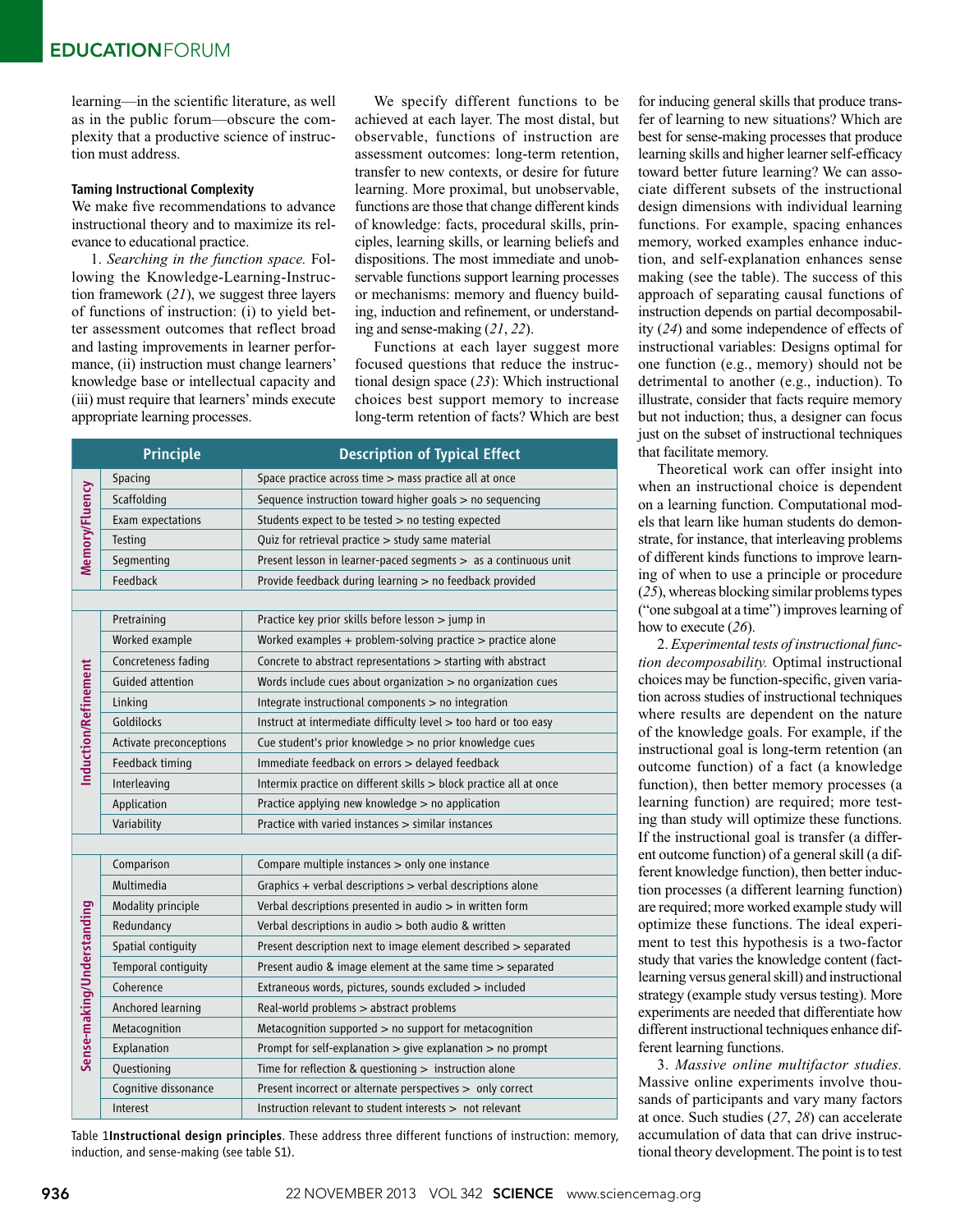learning—in the scientific literature, as well as in the public forum—obscure the complexity that a productive science of instruction must address.

## Taming Instructional Complexity

We make five recommendations to advance instructional theory and to maximize its relevance to educational practice.

1. *Searching in the function space.* Following the Knowledge-Learning-Instruction framework  $(21)$ , we suggest three layers of functions of instruction: (i) to yield better assessment outcomes that reflect broad and lasting improvements in learner performance, (ii) instruction must change learners' knowledge base or intellectual capacity and (iii) must require that learners' minds execute appropriate learning processes.

We specify different functions to be achieved at each layer. The most distal, but observable, functions of instruction are assessment outcomes: long-term retention, transfer to new contexts, or desire for future learning. More proximal, but unobservable, functions are those that change different kinds of knowledge: facts, procedural skills, principles, learning skills, or learning beliefs and dispositions. The most immediate and unobservable functions support learning processes or mechanisms: memory and fluency building, induction and refinement, or understanding and sense-making  $(21, 22)$ .

Functions at each layer suggest more focused questions that reduce the instructional design space (23): Which instructional choices best support memory to increase long-term retention of facts? Which are best

|  |                            | <b>Principle</b>        | <b>Description of Typical Effect</b>                               |
|--|----------------------------|-------------------------|--------------------------------------------------------------------|
|  | Memory/Fluency             | Spacing                 | Space practice across time > mass practice all at once             |
|  |                            | Scaffolding             | Sequence instruction toward higher goals $>$ no sequencing         |
|  |                            | Exam expectations       | Students expect to be tested $>$ no testing expected               |
|  |                            | Testing                 | Quiz for retrieval practice > study same material                  |
|  |                            | Segmenting              | Present lesson in learner-paced segments > as a continuous unit    |
|  |                            | Feedback                | Provide feedback during learning > no feedback provided            |
|  |                            |                         |                                                                    |
|  |                            | Pretraining             | Practice key prior skills before lesson > jump in                  |
|  |                            | Worked example          | Worked examples $+$ problem-solving practice $>$ practice alone    |
|  |                            | Concreteness fading     | Concrete to abstract representations $>$ starting with abstract    |
|  | Induction/Refinement       | <b>Guided attention</b> | Words include cues about organization $>$ no organization cues     |
|  |                            | Linking                 | Integrate instructional components > no integration                |
|  |                            | Goldilocks              | Instruct at intermediate difficulty level > too hard or too easy   |
|  |                            | Activate preconceptions | Cue student's prior knowledge > no prior knowledge cues            |
|  |                            | Feedback timing         | Immediate feedback on errors > delayed feedback                    |
|  |                            | Interleaving            | Intermix practice on different skills > block practice all at once |
|  |                            | Application             | Practice applying new knowledge > no application                   |
|  |                            | Variability             | Practice with varied instances > similar instances                 |
|  |                            |                         |                                                                    |
|  | Sense-making/Understanding | Comparison              | Compare multiple instances $>$ only one instance                   |
|  |                            | Multimedia              | Graphics $+$ verbal descriptions $>$ verbal descriptions alone     |
|  |                            | Modality principle      | Verbal descriptions presented in audio $>$ in written form         |
|  |                            | Redundancy              | Verbal descriptions in audio > both audio & written                |
|  |                            | Spatial contiguity      | Present description next to image element described > separated    |
|  |                            | Temporal contiguity     | Present audio & image element at the same time > separated         |
|  |                            | Coherence               | Extraneous words, pictures, sounds excluded > included             |
|  |                            | Anchored learning       | Real-world problems > abstract problems                            |
|  |                            | Metacognition           | Metacognition supported $>$ no support for metacognition           |
|  |                            | Explanation             | Prompt for self-explanation $>$ give explanation $>$ no prompt     |
|  |                            | Questioning             | Time for reflection & questioning $>$ instruction alone            |
|  |                            | Cognitive dissonance    | Present incorrect or alternate perspectives > only correct         |
|  |                            | Interest                | Instruction relevant to student interests > not relevant           |

Table 1Instructional design principles. These address three different functions of instruction: memory, induction, and sense-making (see table S1).

for inducing general skills that produce transfer of learning to new situations? Which are best for sense-making processes that produce learning skills and higher learner self-efficacy toward better future learning? We can associate different subsets of the instructional design dimensions with individual learning functions. For example, spacing enhances memory, worked examples enhance induction, and self-explanation enhances sense making (see the table). The success of this approach of separating causal functions of instruction depends on partial decomposability ( *24*) and some independence of effects of instructional variables: Designs optimal for one function (e.g., memory) should not be detrimental to another (e.g., induction). To illustrate, consider that facts require memory but not induction; thus, a designer can focus just on the subset of instructional techniques that facilitate memory.

Theoretical work can offer insight into when an instructional choice is dependent on a learning function. Computational models that learn like human students do demonstrate, for instance, that interleaving problems of different kinds functions to improve learning of when to use a principle or procedure ( *25*), whereas blocking similar problems types ("one subgoal at a time") improves learning of how to execute (26).

2. *Experimental tests of instructional function decomposability.* Optimal instructional choices may be function-specific, given variation across studies of instructional techniques where results are dependent on the nature of the knowledge goals. For example, if the instructional goal is long-term retention (an outcome function) of a fact (a knowledge function), then better memory processes (a learning function) are required; more testing than study will optimize these functions. If the instructional goal is transfer (a different outcome function) of a general skill (a different knowledge function), then better induction processes (a different learning function) are required; more worked example study will optimize these functions. The ideal experiment to test this hypothesis is a two-factor study that varies the knowledge content (factlearning versus general skill) and instructional strategy (example study versus testing). More experiments are needed that differentiate how different instructional techniques enhance different learning functions.

3. *Massive online multifactor studies.* Massive online experiments involve thousands of participants and vary many factors at once. Such studies ( *27*, *28*) can accelerate accumulation of data that can drive instructional theory development. The point is to test